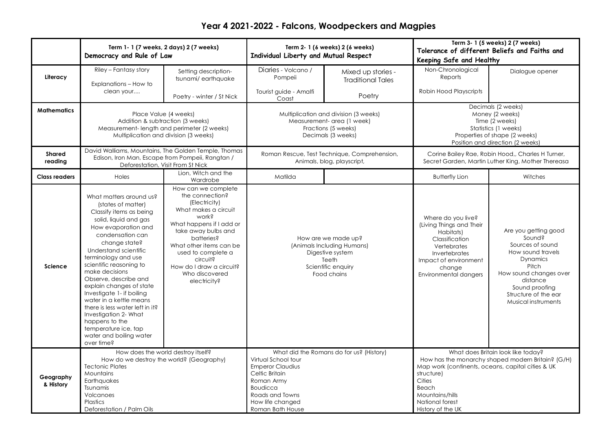## **Year 4 2021-2022 - Falcons, Woodpeckers and Magpies**

|                        | Term 1- 1 (7 weeks, 2 days) 2 (7 weeks)<br>Democracy and Rule of Law                                                                                                                                                                                                                                                                                                                                                                                                                                                   |                                                                                                                                                                                                                                                                                      | Term 2- 1 (6 weeks) 2 (6 weeks)<br>Individual Liberty and Mutual Respect                                                                                                                          |                                                | Term 3- 1 (5 weeks) 2 (7 weeks)<br>Tolerance of different Beliefs and Faiths and<br>Keeping Safe and Healthy                                                                                                                             |                                                                                                                                                                                                     |
|------------------------|------------------------------------------------------------------------------------------------------------------------------------------------------------------------------------------------------------------------------------------------------------------------------------------------------------------------------------------------------------------------------------------------------------------------------------------------------------------------------------------------------------------------|--------------------------------------------------------------------------------------------------------------------------------------------------------------------------------------------------------------------------------------------------------------------------------------|---------------------------------------------------------------------------------------------------------------------------------------------------------------------------------------------------|------------------------------------------------|------------------------------------------------------------------------------------------------------------------------------------------------------------------------------------------------------------------------------------------|-----------------------------------------------------------------------------------------------------------------------------------------------------------------------------------------------------|
| Literacy               | Riley - Fantasy story<br>Explanations - How to                                                                                                                                                                                                                                                                                                                                                                                                                                                                         | Setting description-<br>tsunami/earthquake                                                                                                                                                                                                                                           | Diaries - Volcano /<br>Pompeii                                                                                                                                                                    | Mixed up stories -<br><b>Traditional Tales</b> | Non-Chronological<br>Reports                                                                                                                                                                                                             | Dialogue opener                                                                                                                                                                                     |
|                        | clean your                                                                                                                                                                                                                                                                                                                                                                                                                                                                                                             | Poetry - winter / St Nick                                                                                                                                                                                                                                                            | Tourist quide - Amalfi<br>Coast                                                                                                                                                                   | Poetry                                         | Robin Hood Playscripts                                                                                                                                                                                                                   |                                                                                                                                                                                                     |
| <b>Mathematics</b>     | Place Value (4 weeks)<br>Addition & subtraction (3 weeks)<br>Measurement-length and perimeter (2 weeks)<br>Multiplication and division (3 weeks)                                                                                                                                                                                                                                                                                                                                                                       |                                                                                                                                                                                                                                                                                      | Multiplication and division (3 weeks)<br>Measurement- area (1 week)<br>Fractions (5 weeks)<br>Decimals (3 weeks)                                                                                  |                                                | Decimals (2 weeks)<br>Money (2 weeks)<br>Time (2 weeks)<br>Statistics (1 weeks)<br>Properties of shape (2 weeks)<br>Position and direction (2 weeks)                                                                                     |                                                                                                                                                                                                     |
| Shared<br>reading      | David Walliams, Mountains, The Golden Temple, Thomas<br>Edison, Iron Man, Escape from Pompeii, Rangtan /<br>Deforestation, Visit From St Nick                                                                                                                                                                                                                                                                                                                                                                          |                                                                                                                                                                                                                                                                                      | Roman Rescue, Test Technique, Comprehension,<br>Animals, blog, playscript,                                                                                                                        |                                                | Corine Bailey Rae, Robin Hood,, Charles H Turner,<br>Secret Garden, Martin Luther King, Mother Thereasa                                                                                                                                  |                                                                                                                                                                                                     |
| <b>Class readers</b>   | Holes                                                                                                                                                                                                                                                                                                                                                                                                                                                                                                                  | Lion, Witch and the<br>Wardrobe                                                                                                                                                                                                                                                      | Matilda                                                                                                                                                                                           |                                                | <b>Butterfly Lion</b>                                                                                                                                                                                                                    | Witches                                                                                                                                                                                             |
| Science                | What matters around us?<br>(states of matter)<br>Classify items as being<br>solid, liquid and gas<br>How evaporation and<br>condensation can<br>change state?<br>Understand scientific<br>terminology and use<br>scientific reasoning to<br>make decisions<br>Observe, describe and<br>explain changes of state<br>Investigate 1- if boiling<br>water in a kettle means<br>there is less water left in it?<br>Investigation 2- What<br>happens to the<br>temperature ice, tap<br>water and boiling water<br>over time? | How can we complete<br>the connection?<br>(Electricity)<br>What makes a circuit<br>work?<br>What happens if I add or<br>take away bulbs and<br>batteries?<br>What other items can be<br>used to complete a<br>circuit?<br>How do I draw a circuit?<br>Who discovered<br>electricity? | How are we made up?<br>(Animals Including Humans)<br>Digestive system<br>Teeth<br>Scientific enquiry<br>Food chains                                                                               |                                                | Where do you live?<br>(Living Things and Their<br>Habitats)<br>Classification<br>Vertebrates<br>Invertebrates<br>Impact of environment<br>change<br>Environmental dangers                                                                | Are you getting good<br>Sound?<br>Sources of sound<br>How sound travels<br>Dynamics<br>Pitch<br>How sound changes over<br>distance<br>Sound proofing<br>Structure of the ear<br>Musical instruments |
| Geography<br>& History | How does the world destroy itself?<br>How do we destroy the world? (Geography)<br><b>Tectonic Plates</b><br>Mountains<br>Earthquakes<br>Tsunamis<br>Volcanoes<br>Plastics<br>Deforestation / Palm Oils                                                                                                                                                                                                                                                                                                                 |                                                                                                                                                                                                                                                                                      | What did the Romans do for us? (History)<br>Virtual School tour<br><b>Emperor Claudius</b><br>Celtic Britain<br>Roman Army<br>Boudicca<br>Roads and Towns<br>How life changed<br>Roman Bath House |                                                | What does Britain look like today?<br>How has the monarchy shaped modern Britain? (G/H)<br>Map work (continents, oceans, capital cities & UK<br>structure)<br>Cities<br>Beach<br>Mountains/hills<br>National forest<br>History of the UK |                                                                                                                                                                                                     |